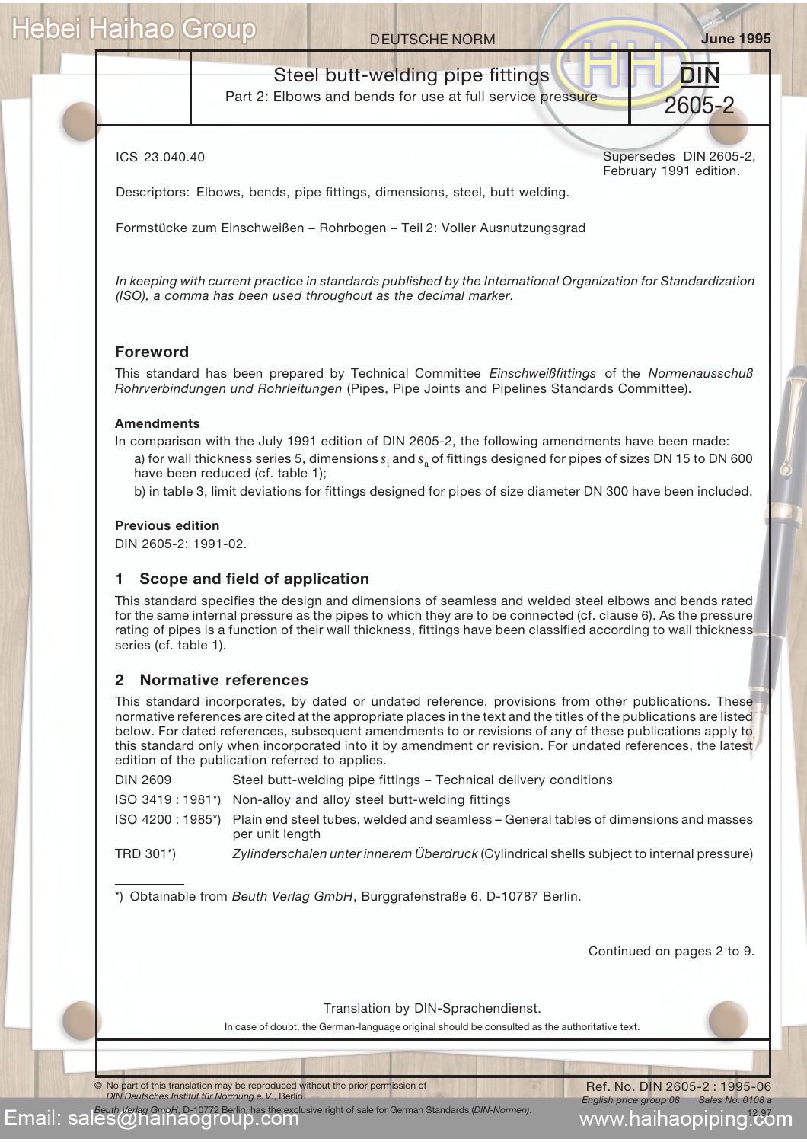### **DEUTSCHE NORM June 1995**

## Steel butt-welding pipe fittings

Part 2: Elbows and bends for use at full service pressure

ICS 23.040.40

Supersedes DIN 2605-2, February 1991 edition.

2605-2

DIN.

Descriptors: Elbows, bends, pipe fittings, dimensions, steel, butt welding.

Formstücke zum Einschweißen – Rohrbogen – Teil 2: Voller Ausnutzungsgrad

*In keeping with current practice in standards published by the International Organization for Standardization (ISO), a comma has been used throughout as the decimal marker.*

### **Foreword**

This standard has been prepared by Technical Committee *Einschweißfittings* of the *Normenausschuß Rohrverbindungen und Rohrleitungen* (Pipes, Pipe Joints and Pipelines Standards Committee).

### **Amendments**

In comparison with the July 1991 edition of DIN 2605-2, the following amendments have been made: a) for wall thickness series 5, dimensions *s*<sup>i</sup> and *s*a of fittings designed for pipes of sizes DN 15 to DN 600 have been reduced (cf. table 1);

b) in table 3, limit deviations for fittings designed for pipes of size diameter DN 300 have been included.

### **Previous edition**

DIN 2605-2: 1991-02.

### **1 Scope and field of application**

This standard specifies the design and dimensions of seamless and welded steel elbows and bends rated for the same internal pressure as the pipes to which they are to be connected (cf. clause 6). As the pressure rating of pipes is a function of their wall thickness, fittings have been classified according to wall thickness series (cf. table 1).

### **2 Normative references**

This standard incorporates, by dated or undated reference, provisions from other publications. These normative references are cited at the appropriate places in the text and the titles of the publications are listed below. For dated references, subsequent amendments to or revisions of any of these publications apply to this standard only when incorporated into it by amendment or revision. For undated references, the latest edition of the publication referred to applies.

DIN 2609 Steel butt-welding pipe fittings – Technical delivery conditions

ISO 3419 : 1981\*) Non-alloy and alloy steel butt-welding fittings

ISO 4200 : 1985\*) Plain end steel tubes, welded and seamless – General tables of dimensions and masses per unit length

TRD 301\*) *Zylinderschalen unter innerem Überdruck* (Cylindrical shells subject to internal pressure)

\*) Obtainable from *Beuth Verlag GmbH*, Burggrafenstraße 6, D-10787 Berlin.

Continued on pages 2 to 9.

Translation by DIN-Sprachendienst.

In case of doubt, the German-language original should be consulted as the authoritative text.

© No part of this translation may be reproduced without the prior permission of *DIN Deutsches Institut für Normung e.V.*, Berlin.

*Beuth Verlag GmbH*, D-10772 Berlin, has the exclusive right of sale for German Standards (*DIN-Normen)*.

Ref. No. DIN 2605-2 : 1995-06 *English price group 08 Sales No. 0108 a* www.haihaopiping!<del>c</del>om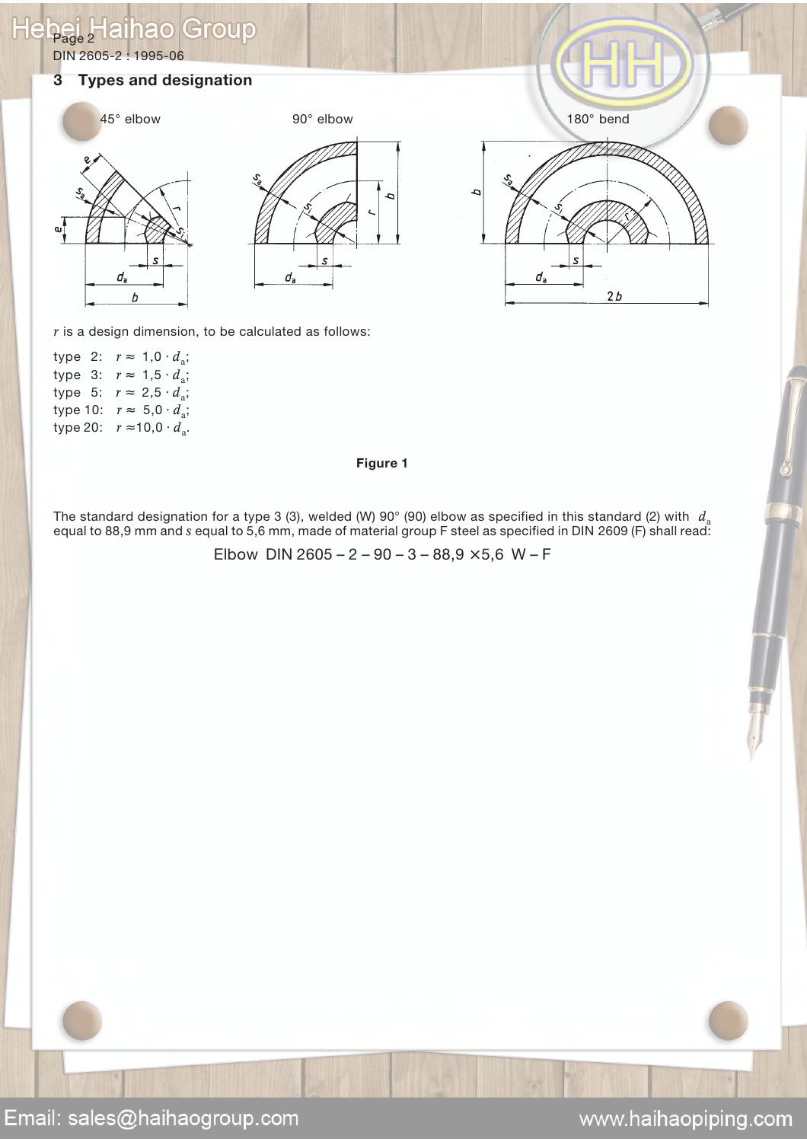### $H$ Group Page 2 ınaol

DIN 2605-2 : 1995-06

### **3 Types and designation**







*r* is a design dimension, to be calculated as follows:

|          |  | type 2: $r \approx 1.0 \cdot d_a$ ; |
|----------|--|-------------------------------------|
| type 3:  |  | $r \approx 1.5 \cdot d_{\rm a}$ ;   |
| type 5:  |  | $r \approx 2.5 \cdot d_{\rm a}$ ;   |
| type 10: |  | $r \approx 5.0 \cdot d_{\rm a}$ ;   |
| type 20: |  | $r \approx 10,0 \cdot d_{\rm a}$ .  |
|          |  |                                     |

### **Figure 1**

The standard designation for a type 3 (3), welded (W) 90 $^{\circ}$  (90) elbow as specified in this standard (2) with  $d_{\circ}$ equal to 88,9 mm and *s* equal to 5,6 mm, made of material group F steel as specified in DIN 2609 (F) shall read:

Elbow DIN 2605 – 2 – 90 – 3 – 88,9  $\times$  5,6 W – F

www.haihaopiping.com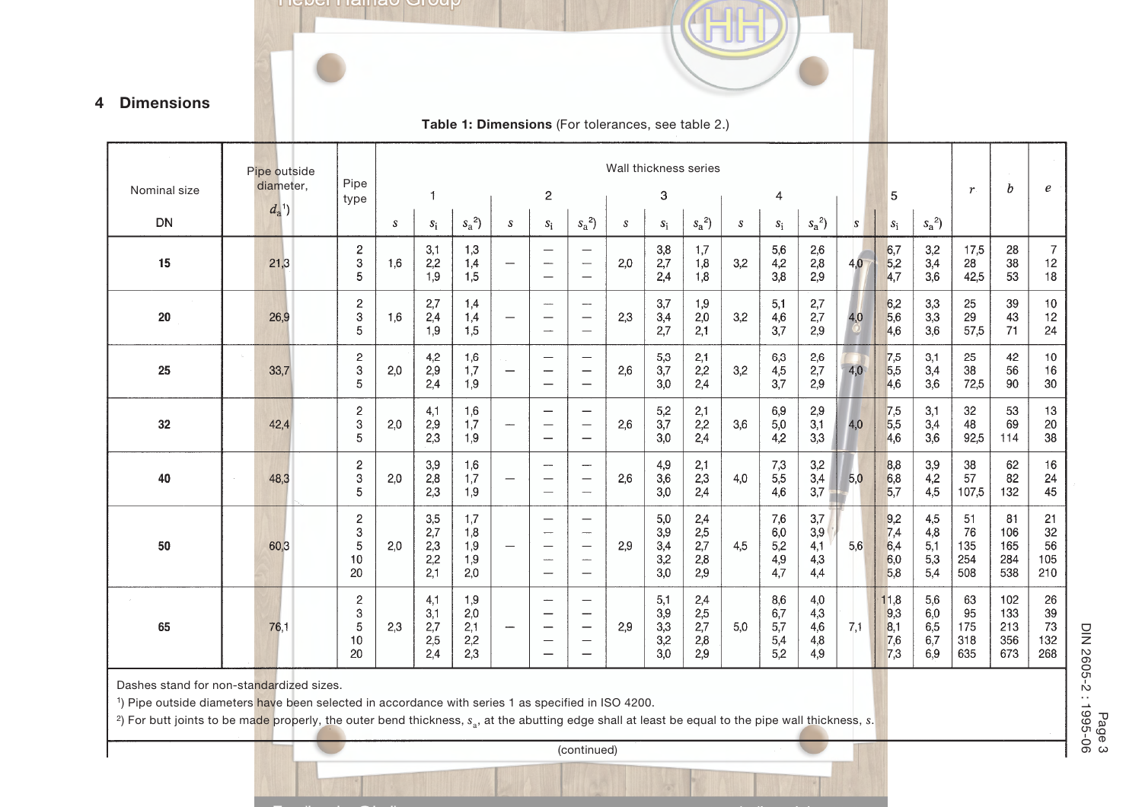

### **4 Dimensions**

### **Table 1: Dimensions** (For tolerances, see table 2.)

|              | Pipe outside | Pipe                                          |     |                                 |                                 |                                          |                                                                                  |                                                                                                  |                  |                                 | Wall thickness series               |     |                                      |                                 |               |                                  |                                 |                               |                                 |                                  |
|--------------|--------------|-----------------------------------------------|-----|---------------------------------|---------------------------------|------------------------------------------|----------------------------------------------------------------------------------|--------------------------------------------------------------------------------------------------|------------------|---------------------------------|-------------------------------------|-----|--------------------------------------|---------------------------------|---------------|----------------------------------|---------------------------------|-------------------------------|---------------------------------|----------------------------------|
| Nominal size | diameter,    | type                                          |     | 1                               |                                 |                                          | $\boldsymbol{2}$                                                                 |                                                                                                  |                  | 3                               |                                     |     | 4                                    |                                 |               | 5                                |                                 | $\boldsymbol{r}$              | $\boldsymbol{b}$                | e                                |
| <b>DN</b>    | $d_a^{\ 1})$ |                                               | s   | $s_i$                           | $s_a^2$                         | $\boldsymbol{S}$                         | $\mathcal{S}_{\hat{1}}$                                                          | $s_a^2$                                                                                          | $\boldsymbol{s}$ | $s_i$                           | $s_a^2$                             | S   | $s_i$                                | $s_a^2$                         | $\mathcal{S}$ | $s_i$                            | $s_a^2$                         |                               |                                 |                                  |
| 15           | 21,3         | $\overline{\mathbf{c}}$<br>3<br>5             | 1,6 | 3,1<br>2,2<br>1,9               | 1,3<br>1,4<br>1,5               | $\overbrace{\phantom{12322111}}$         | -----                                                                            | $\overline{\phantom{0}}$<br>$\overline{\phantom{m}}$<br>$\overbrace{\phantom{12322111}}$         | 2,0              | 3,8<br>2,7<br>2,4               | 1,7<br>1,8<br>1,8                   | 3,2 | $5,6$<br>4,2<br>3,8                  | 2,6<br>$^{2,8}_{2,9}$           | 4,0           | 6,7<br>$\frac{5,2}{4,7}$         | 3,2<br>3,4<br>3,6               | 17,5<br>28<br>42,5            | 28<br>38<br>53                  | $\overline{7}$<br>12<br>$18$     |
| 20           | 26,9         | $\overline{\mathbf{c}}$<br>3<br>5             | 1,6 | 2,7<br>2,4<br>1,9               | 1,4<br>1,4<br>1,5               |                                          | ---<br>$\overline{\phantom{0}}$                                                  | $\overline{\phantom{m}}$<br>—                                                                    | 2,3              | 3,7<br>3,4<br>2,7               | 1,9<br>2,0<br>2,1                   | 3,2 | 5,1<br>4,6<br>3,7                    | $2,7$<br>$2,7$<br>$2,9$         | 4,0           | $6,2$<br>5,6<br>4,6              | 3,3<br>3,3<br>3,6               | 25<br>29<br>57,5              | 39<br>43<br>71                  | 10<br>12<br>24                   |
| 25           | 33,7         | $\overline{c}$<br>3<br>5                      | 2,0 | 4,2<br>2,9<br>2,4               | 1,6<br>1,7<br>1,9               | e al<br>$\overbrace{\phantom{12322111}}$ | $\overline{\phantom{0}}$                                                         | $\overline{\phantom{a}}$<br>$\overline{\phantom{m}}$<br>$\overline{\phantom{0}}$                 | 2,6              | 5,3<br>3,7<br>3,0               | 2,1<br>2,2<br>2,4                   | 3,2 | 6,3<br>4,5<br>3.7                    | $^{2,6}_{2,7}$<br>2,9           | 4,0           | 7,5<br>5,5<br>4,6                | 3,1<br>3,4<br>3,6               | 25<br>38<br>72,5              | 42<br>56<br>90                  | $10$<br>16<br>$30\,$             |
| 32           | 42,4         | $\overline{c}$<br>3<br>5                      | 2,0 | 4,1<br>2,9<br>2,3               | 1,6<br>1,7<br>1,9               | $\overline{\phantom{a}}$                 | $\overline{\phantom{0}}$<br>$\overbrace{\phantom{123221111}}$                    | $\overbrace{\phantom{1232211}}$                                                                  | 2,6              | 5,2<br>3,7<br>3,0               | 2,1<br>2,2<br>2,4                   | 3,6 | 6,9<br>$5,0$<br>4,2                  | $^{2,9}_{3,1}$<br>3,3           | 4,0           | $\frac{7,5}{5,5}$<br>4,6         | 3,1<br>3,4<br>3,6               | 32<br>48<br>92,5              | 53<br>69<br>114                 | 13<br>20<br>38                   |
| 40           | 48,3         | $\overline{\mathbf{c}}$<br>3<br>5             | 2,0 | 3,9<br>2,8<br>2,3               | 1,6<br>1,7<br>1,9               | $\overline{\phantom{0}}$                 | ---<br>$\hspace{0.05cm}$                                                         | $\overline{\phantom{a}}$<br>$\overline{\phantom{m}}$<br>$\overline{\phantom{m}}$                 | 2,6              | 4,9<br>3,6<br>3,0               | 2,1<br>2,3<br>2,4                   | 4,0 | 7,3<br>5,5<br>4,6                    | 3,2<br>3,4<br>3,7               | 5,0           | 8,8<br>6,8<br>5,7                | 3,9<br>4,2<br>4,5               | 38<br>57<br>107,5             | 62<br>82<br>132                 | 16<br>24<br>45                   |
| 50           | 60,3         | 2<br>3<br>5<br>10<br>20                       | 2,0 | 3,5<br>2,7<br>2,3<br>2,2<br>2.1 | 1,7<br>1,8<br>1,9<br>1,9<br>2,0 |                                          | $\overline{\phantom{0}}$<br>$\overline{\phantom{a}}$<br>$\overline{\phantom{0}}$ | -<br>$\overline{\phantom{m}}$<br>$\frac{1}{2}$                                                   | 2,9              | 5,0<br>3,9<br>3,4<br>3,2<br>3,0 | 2,4<br>2,5<br>2,7<br>2,8<br>2,9     | 4,5 | 7,6<br>$_{6,0}$<br>5,2<br>4,9<br>4,7 | 3,7<br>3,9<br>4,1<br>4,3<br>4,4 | 5,6           | 9,2<br>7,4<br>6,4<br>6,0<br>5,8  | 4,5<br>4,8<br>5,1<br>5,3<br>5,4 | 51<br>76<br>135<br>254<br>508 | 81<br>106<br>165<br>284<br>538  | 21<br>$32\,$<br>56<br>105<br>210 |
| 65           | 76,1         | $\overline{\mathbf{c}}$<br>3<br>5<br>10<br>20 | 2,3 | 4,1<br>3,1<br>2,7<br>2,5<br>2,4 | 1,9<br>2,0<br>2,1<br>2,2<br>2,3 | $\overbrace{\qquad \qquad }$             | $\overline{\phantom{a}}$<br>—<br>$\overline{\phantom{0}}$                        | $\qquad \qquad$<br>$\qquad \qquad \qquad$<br>$\overbrace{\phantom{12322111}}$<br>$\qquad \qquad$ | 2,9              | 5,1<br>3,9<br>3,3<br>3,2<br>3,0 | 2,4<br>$2,5$<br>$2,7$<br>2,8<br>2,9 | 5.0 | 8,6<br>6,7<br>5,7<br>5,4<br>5,2      | 4,0<br>4,3<br>4,6<br>4,8<br>4,9 | 7,1           | 11,8<br>9,3<br>8,1<br>7,6<br>7,3 | 5,6<br>6,0<br>6,5<br>6,7<br>6,9 | 63<br>95<br>175<br>318<br>635 | 102<br>133<br>213<br>356<br>673 | $26\,$<br>39<br>73<br>132<br>268 |

Dashes stand for non-sta<mark>nda</mark>rdized sizes.

<sup>1</sup>) Pipe outside diameters have been selected in accordance with series 1 as specified in ISO 4200.

<sup>2</sup>) For butt joints to be made properly, the outer bend thickness,  $s_a$ , at the abutting edge shall at least be equal to the pipe wall thickness, *s*.

(continued)

Page 3<br>DIN 2605-2 : 1995-06 DIN 2605-2 : 1995-06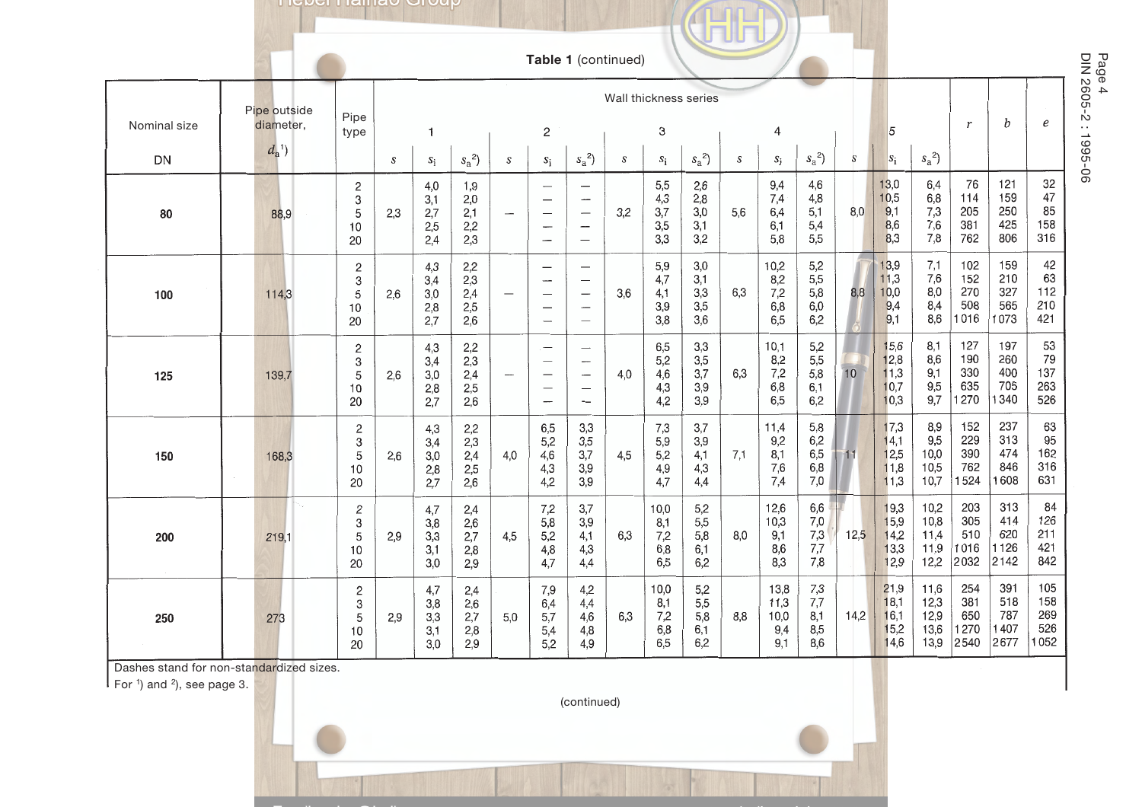**TIGDEL LIGHTED** OTOUP

|              |                           |                                                |     |                                                       |                                 |                          | Table 1 (continued)                                                                                               |                                                                                |     |                                  |                                 |     |                                    |                                 |      |                                      |                                      |                                   |                                   |                                  |                        |
|--------------|---------------------------|------------------------------------------------|-----|-------------------------------------------------------|---------------------------------|--------------------------|-------------------------------------------------------------------------------------------------------------------|--------------------------------------------------------------------------------|-----|----------------------------------|---------------------------------|-----|------------------------------------|---------------------------------|------|--------------------------------------|--------------------------------------|-----------------------------------|-----------------------------------|----------------------------------|------------------------|
| Nominal size | Pipe outside<br>diameter, | Pipe<br>type                                   |     | Wall thickness series<br>$\overline{\mathbf{c}}$<br>1 |                                 |                          |                                                                                                                   |                                                                                |     |                                  |                                 |     |                                    | 5<br>3<br>4                     |      |                                      |                                      | $\mathbf{r}$                      | b                                 | $\boldsymbol{e}$                 | Page 4<br>DIN 2605-2 : |
| DN           | $d_{a}^{1}$               |                                                | S   | $S_{\rm i}$                                           | $s_a^2$                         | S                        | $S_i$                                                                                                             | $s_a^2$                                                                        | S   | $s_i$                            | $s_a^2$                         | S   | $s_i$                              | $s_a^2$                         | S    | $s_i$                                | $s_a^2$                              |                                   |                                   |                                  | 1995-06                |
| 80           | 88,9                      | $\mathbf{2}$<br>3<br>5<br>10<br>20             | 2,3 | 4,0<br>3,1<br>2,7<br>2,5<br>2,4                       | 1,9<br>2,0<br>2,1<br>2,2<br>2,3 | $\overline{\phantom{a}}$ | $\overline{\phantom{m}}$<br>-<br>$\overline{\phantom{a}}$<br>$\overline{\phantom{a}}$<br>$\overline{\phantom{0}}$ | $\qquad \qquad$<br>$\overline{\phantom{a}}$<br>$\overbrace{\qquad \qquad }^{}$ | 3,2 | 5,5<br>4,3<br>3,7<br>3,5<br>3,3  | 2,6<br>2,8<br>3,0<br>3,1<br>3,2 | 5.6 | 9,4<br>7,4<br>6,4<br>6,1<br>5,8    | 4,6<br>4,8<br>5,1<br>5,4<br>5,5 | 8,0  | 13,0<br>10,5<br>9,1<br>8,6<br>8,3    | 6,4<br>6,8<br>7,3<br>7,6<br>7,8      | 76<br>114<br>205<br>381<br>762    | 121<br>159<br>250<br>425<br>806   | 32<br>47<br>85<br>158<br>316     |                        |
| 100          | 114,3                     | $\overline{c}$<br>$\mathsf 3$<br>5<br>10<br>20 | 2,6 | 4,3<br>3,4<br>3,0<br>2,8<br>2,7                       | 2,2<br>2,3<br>2,4<br>2,5<br>2,6 | $\overline{\phantom{m}}$ | -<br>$\overline{\phantom{0}}$                                                                                     | $\overline{\phantom{a}}$<br>$\overline{\phantom{0}}$                           | 3,6 | 5,9<br>4,7<br>4,1<br>3,9<br>3,8  | 3,0<br>3,1<br>3,3<br>3,5<br>3,6 | 6,3 | 10,2<br>8,2<br>7,2<br>6,8<br>6,5   | 5,2<br>5,5<br>5,8<br>6,0<br>6,2 | 8,8  | 13,9<br>11,3<br>10,0<br>9,4<br>9,1   | 7,1<br>7,6<br>8,0<br>8,4<br>8,6      | 102<br>152<br>270<br>508<br>1016  | 159<br>210<br>327<br>565<br>1073  | 42<br>63<br>112<br>210<br>421    |                        |
| 125          | 139,7                     | $\mathbf{2}$<br>$\,3$<br>5<br>10<br>20         | 2,6 | 4,3<br>3,4<br>3,0<br>2,8<br>2,7                       | 2,2<br>2,3<br>2,4<br>2,5<br>2,6 | $\overline{\phantom{m}}$ | $\overline{\phantom{0}}$<br>-                                                                                     | ---<br>$\overbrace{\phantom{1232211}}$                                         | 4,0 | 6,5<br>5,2<br>4,6<br>4,3<br>4,2  | 3,3<br>3,5<br>3,7<br>3,9<br>3,9 | 6,3 | 10,1<br>8,2<br>7,2<br>6,8<br>6,5   | 5,2<br>5,5<br>5,8<br>6,1<br>6,2 | 10   | 15,6<br>12,8<br>11,3<br>10,7<br>10,3 | 8,1<br>8,6<br>9,1<br>9,5<br>9,7      | 127<br>190<br>330<br>635<br>1270  | 197<br>260<br>400<br>705<br>1340  | 53<br>79<br>137<br>263<br>526    |                        |
| 150          | 168,3                     | $\overline{2}$<br>$\,3$<br>5<br>10<br>20       | 2,6 | 4,3<br>3,4<br>3,0<br>2,8<br>2,7                       | 2,2<br>2,3<br>2,4<br>2,5<br>2,6 | 4,0                      | 6,5<br>5,2<br>4,6<br>4,3<br>4,2                                                                                   | 3,3<br>3,5<br>3,7<br>3,9<br>3,9                                                | 4,5 | 7,3<br>5,9<br>5,2<br>4,9<br>4,7  | 3,7<br>3,9<br>4,1<br>4,3<br>4,4 | 7,1 | 11,4<br>9,2<br>8,1<br>7,6<br>7,4   | 5,8<br>6,2<br>6,5<br>6,8<br>7,0 | 11   | 17,3<br>14,1<br>12,5<br>11,8<br>11,3 | 8,9<br>9,5<br>10,0<br>10,5<br>10,7   | 152<br>229<br>390<br>762<br>1524  | 237<br>313<br>474<br>846<br>1608  | 63<br>95<br>162<br>316<br>631    |                        |
| 200          | 219,1                     | 2<br>3<br>5<br>10<br>20                        | 2,9 | 4,7<br>3,8<br>3,3<br>3,1<br>3,0                       | 2,4<br>2,6<br>2,7<br>2,8<br>2,9 | 4,5                      | 7,2<br>5,8<br>5,2<br>4,8<br>4,7                                                                                   | 3,7<br>3,9<br>4,1<br>4,3<br>4,4                                                | 6,3 | 10,0<br>8,1<br>7,2<br>6,8<br>6,5 | 5,2<br>5,5<br>5,8<br>6,1<br>6,2 | 8,0 | 12,6<br>10,3<br>9,1<br>8,6<br>8,3  | 6,6<br>7,0<br>7,3<br>7,7<br>7,8 | 12,5 | 19,3<br>15,9<br>14,2<br>13,3<br>12,9 | 10,2<br>10,8<br>11,4<br>11,9<br>12,2 | 203<br>305<br>510<br>1016<br>2032 | 313<br>414<br>620<br>1126<br>2142 | 84<br>126<br>211<br>421<br>842   |                        |
| 250          | 273                       | $\mathbf{2}$<br>3<br>5<br>$10$<br>20           | 2,9 | 4,7<br>3,8<br>3,3<br>3,1<br>3,0                       | 2,4<br>2,6<br>2,7<br>2,8<br>2,9 | 5,0                      | 7,9<br>6,4<br>5,7<br>5,4<br>5,2                                                                                   | 4,2<br>4,4<br>4,6<br>4,8<br>4,9                                                | 6,3 | 10,0<br>8,1<br>7,2<br>6,8<br>6.5 | 5,2<br>5,5<br>5,8<br>6,1<br>6,2 | 8,8 | 13,8<br>11,3<br>10,0<br>9,4<br>9.1 | 7,3<br>7,7<br>8,1<br>8,5<br>8,6 | 14,2 | 21,9<br>18,1<br>16,1<br>15,2<br>14,6 | 11,6<br>12,3<br>12,9<br>13,6<br>13,9 | 254<br>381<br>650<br>1270<br>2540 | 391<br>518<br>787<br>1407<br>2677 | 105<br>158<br>269<br>526<br>1052 |                        |

Dashes stand for non-standardized sizes.

 $\mathsf{F}$  For <sup>1</sup>) and <sup>2</sup>), see page 3.



DIN 2605-2 : 1995-06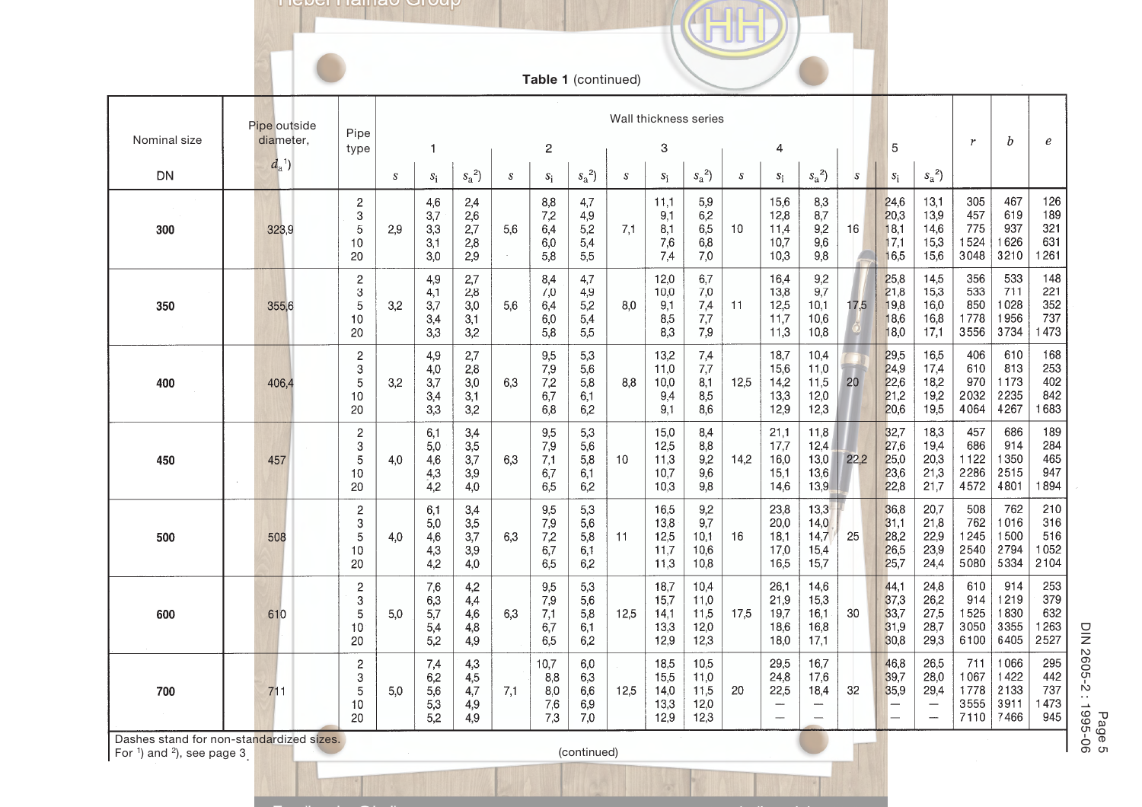**TIGDEL LIGHTED** OTOUP

**Table 1** (continued)

|              | Pipe outside                             |                                      |     | Wall thickness series           |                                 |                                    |                                  |                                 |      |                                      |                                      |                  |                                                       |                                                  |              |                                      |                                                                                       |                                     |                                      |                                   |
|--------------|------------------------------------------|--------------------------------------|-----|---------------------------------|---------------------------------|------------------------------------|----------------------------------|---------------------------------|------|--------------------------------------|--------------------------------------|------------------|-------------------------------------------------------|--------------------------------------------------|--------------|--------------------------------------|---------------------------------------------------------------------------------------|-------------------------------------|--------------------------------------|-----------------------------------|
| Nominal size | diameter,                                | Pipe<br>type                         |     | -1                              |                                 |                                    | $\mathbf 2$                      |                                 |      | 3                                    |                                      |                  | 4                                                     |                                                  |              | 5                                    |                                                                                       | $\boldsymbol{r}$                    | b                                    | e                                 |
| DN           | $d_a^{\ 1})$                             |                                      | S   | $s_i$                           | $s_a^2$ )                       | $\boldsymbol{s}$                   | $\mathcal{S}_1$                  | $s_a^2$                         | S    | $s_i$                                | $s_a^2$                              | $\boldsymbol{s}$ | $s_i$                                                 | $s_a^2$                                          | <sub>S</sub> | $\mathcal{S}_1$                      | $s_a^2$                                                                               |                                     |                                      |                                   |
| 300          | 323,9                                    | $\overline{c}$<br>3<br>5<br>10<br>20 | 2,9 | 4,6<br>3,7<br>3,3<br>3,1<br>3.0 | 2,4<br>2,6<br>2,7<br>2,8<br>2,9 | 5,6<br>$\mathcal{L}_{\mathcal{A}}$ | 8,8<br>7,2<br>6,4<br>6,0<br>5,8  | 4,7<br>4,9<br>5,2<br>5,4<br>5,5 | 7,1  | 11,1<br>9,1<br>8,1<br>7,6<br>7,4     | 5,9<br>6,2<br>6,5<br>6,8<br>7.0      | 10               | 15,6<br>12,8<br>11,4<br>10,7<br>10,3                  | 8,3<br>8,7<br>9,2<br>9,6<br>9,8                  | 16           | 24,6<br>20,3<br>18,1<br>17,1<br>16,5 | 13,1<br>13,9<br>14,6<br>15,3<br>15,6                                                  | 305<br>457<br>775<br>1524<br>3048   | 467<br>619<br>937<br>1626<br>3210    | 126<br>189<br>321<br>631<br>1261  |
| 350          | 355,6                                    | $\overline{c}$<br>3<br>5<br>10<br>20 | 3,2 | 4,9<br>4,1<br>3,7<br>3,4<br>3,3 | 2,7<br>2,8<br>3,0<br>3,1<br>3,2 | 5.6                                | 8,4<br>7,0<br>6,4<br>6,0<br>5,8  | 4,7<br>4,9<br>5,2<br>5,4<br>5,5 | 8,0  | 12,0<br>10,0<br>9,1<br>8,5<br>8,3    | 6,7<br>7,0<br>7,4<br>7,7<br>7,9      | 11               | 16,4<br>13,8<br>12,5<br>11,7<br>11,3                  | 9,2<br>9,7<br>10,1<br>10,6<br>10,8               | 17,5         | 25,8<br>21,8<br>19,8<br>18,6<br>18,0 | 14,5<br>15,3<br>16,0<br>16,8<br>17,1                                                  | 356<br>533<br>850<br>1778<br>3556   | 533<br>711<br>1028<br>1956<br>3734   | 148<br>221<br>352<br>737<br>1473  |
| 400          | 406,4                                    | $\overline{c}$<br>3<br>5<br>10<br>20 | 3,2 | 4,9<br>4,0<br>3,7<br>3,4<br>3,3 | 2,7<br>2,8<br>3,0<br>3,1<br>3,2 | 6,3                                | 9,5<br>7,9<br>7,2<br>6,7<br>6,8  | 5,3<br>5,6<br>5,8<br>6,1<br>6,2 | 8,8  | 13,2<br>11,0<br>10,0<br>9,4<br>9,1   | 7,4<br>7,7<br>8,1<br>8,5<br>8,6      | 12,5             | 18,7<br>15,6<br>14,2<br>13,3<br>12,9                  | 10,4<br>11,0<br>11,5<br>12,0<br>12,3             | 20           | 29,5<br>24,9<br>22,6<br>21,2<br>20,6 | 16,5<br>17,4<br>18,2<br>19,2<br>19,5                                                  | 406<br>610<br>970<br>2032<br>4064   | 610<br>813<br>1173<br>2235<br>4267   | 168<br>253<br>402<br>842<br>1683  |
| 450          | 457                                      | $\overline{c}$<br>3<br>5<br>10<br>20 | 4.0 | 6,1<br>5,0<br>4,6<br>4,3<br>4,2 | 3,4<br>3,5<br>3,7<br>3,9<br>4,0 | 6,3                                | 9,5<br>7,9<br>7,1<br>6,7<br>6,5  | 5,3<br>5,6<br>5,8<br>6,1<br>6,2 | 10   | 15,0<br>12,5<br>11,3<br>10,7<br>10,3 | 8,4<br>8,8<br>9,2<br>9,6<br>9,8      | 14,2             | 21,1<br>17,7<br>16,0<br>15,1<br>14,6                  | 11,8<br>12,4<br>13,0<br>13,6<br>13,9             | 22,2         | 32,7<br>27,6<br>25,0<br>23,6<br>22,8 | 18,3<br>19,4<br>20,3<br>21,3<br>21,7                                                  | 457<br>686<br>1122<br>2286<br>4572  | 686<br>914<br>1350<br>2515<br>4801   | 189<br>284<br>465<br>947<br>1894  |
| 500          | 508                                      | $\overline{c}$<br>3<br>5<br>10<br>20 | 4,0 | 6,1<br>5,0<br>4,6<br>4,3<br>4,2 | 3,4<br>3,5<br>3,7<br>3,9<br>4,0 | 6,3                                | 9,5<br>7,9<br>7,2<br>6,7<br>6,5  | 5,3<br>5,6<br>5,8<br>6,1<br>6,2 | 11   | 16,5<br>13,8<br>12,5<br>11,7<br>11.3 | 9,2<br>9,7<br>10,1<br>10,6<br>10,8   | 16               | 23,8<br>20,0<br>18,1<br>17,0<br>16,5                  | 13,3<br>14,0<br>14,7<br>15,4<br>15,7             | 25           | 36,8<br>31,1<br>28,2<br>26,5<br>25,7 | 20,7<br>21,8<br>22,9<br>23,9<br>24,4                                                  | 508<br>762<br>1245<br>2540<br>5080  | 762<br>1016<br>1500<br>2794<br>5334  | 210<br>316<br>516<br>1052<br>2104 |
| 600          | 610                                      | 2<br>3<br>5<br>10<br>20              | 5,0 | 7,6<br>6,3<br>5,7<br>5,4<br>5,2 | 4,2<br>4,4<br>4,6<br>4,8<br>4,9 | 6,3                                | 9,5<br>7,9<br>7,1<br>6,7<br>6,5  | 5,3<br>5,6<br>5,8<br>6,1<br>6,2 | 12,5 | 18,7<br>15,7<br>14,1<br>13,3<br>12,9 | 10,4<br>11,0<br>11,5<br>12,0<br>12,3 | 17,5             | 26,1<br>21,9<br>19,7<br>18,6<br>18,0                  | 14,6<br>15,3<br>16,1<br>16,8<br>17,1             | 30           | 44,1<br>37,3<br>33,7<br>31,9<br>30,8 | 24,8<br>26,2<br>27,5<br>28,7<br>29,3                                                  | 610<br>914<br>1525<br>3050<br>6100  | 914<br>1219<br>1830<br>3355<br>6405  | 253<br>379<br>632<br>1263<br>2527 |
| 700          | 711                                      | $\mathbf{2}$<br>3<br>5<br>10<br>20   | 5,0 | 7,4<br>6,2<br>5,6<br>5,3<br>5,2 | 4,3<br>4,5<br>4,7<br>4,9<br>4,9 | 7,1                                | 10,7<br>8,8<br>8,0<br>7,6<br>7,3 | 6,0<br>6,3<br>6,6<br>6,9<br>7,0 | 12,5 | 18,5<br>15,5<br>14,0<br>13,3<br>12,9 | 10,5<br>11,0<br>11,5<br>12,0<br>12,3 | 20               | 29,5<br>24,8<br>22,5<br>-<br>$\overline{\phantom{m}}$ | 16,7<br>17,6<br>18,4<br>$\overline{\phantom{0}}$ | 32           | 46,8<br>39,7<br>35,9                 | 26,5<br>28,0<br>29,4<br>$\overbrace{\phantom{123221111}}$<br>$\overline{\phantom{a}}$ | 711<br>1067<br>1778<br>3555<br>7110 | 1066<br>1422<br>2133<br>3911<br>7466 | 295<br>442<br>737<br>1473<br>945  |
|              | Dashes stand for non-standardized sizes. |                                      |     |                                 |                                 |                                    |                                  |                                 |      |                                      |                                      |                  |                                                       |                                                  |              |                                      |                                                                                       |                                     |                                      |                                   |

For  $\overline{1}$ ) and  $\overline{2}$ ), see page 3<sub>.</sub>

(continued)

90-9661 : 2-9092 NIO<br>90-9661 : 2-9092 NIO<br>P DIN 2605-2 : 1995-06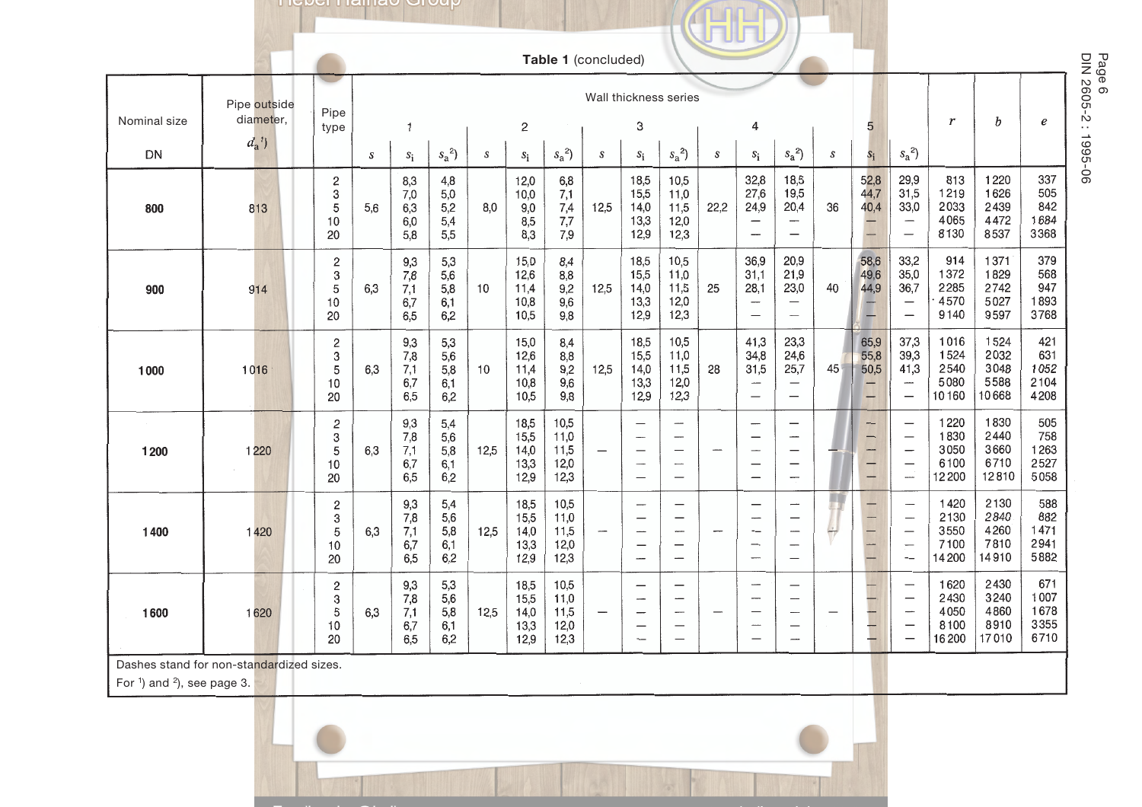**I** ICDCI I IGILIAO OI OUP

| <b>Table 1</b> (concluded) |
|----------------------------|

T

|                                                                                               |              |                                               |                  |                                 |                                 |      |                                      | Table 1 (concluded)                  |                          |                                                                                                              |                                                                        |                          |                                                                                              |                                                                              |                            |                                |                                                                                                                                                         |                                        |                                       |                                     |                                          |
|-----------------------------------------------------------------------------------------------|--------------|-----------------------------------------------|------------------|---------------------------------|---------------------------------|------|--------------------------------------|--------------------------------------|--------------------------|--------------------------------------------------------------------------------------------------------------|------------------------------------------------------------------------|--------------------------|----------------------------------------------------------------------------------------------|------------------------------------------------------------------------------|----------------------------|--------------------------------|---------------------------------------------------------------------------------------------------------------------------------------------------------|----------------------------------------|---------------------------------------|-------------------------------------|------------------------------------------|
|                                                                                               | Pipe outside |                                               |                  |                                 |                                 |      |                                      |                                      |                          | Wall thickness series                                                                                        |                                                                        |                          |                                                                                              |                                                                              |                            |                                |                                                                                                                                                         |                                        |                                       |                                     | Page 6<br>Page 6<br>DIN 2605-2 : 1995-06 |
| Nominal size                                                                                  | diameter,    | Pipe<br>type                                  |                  | 1                               |                                 |      | 2                                    |                                      |                          | 3                                                                                                            |                                                                        |                          | 4                                                                                            |                                                                              |                            | 5                              |                                                                                                                                                         | r                                      | b                                     | e                                   |                                          |
| DN                                                                                            | $d_a^{\ 1})$ |                                               | $\boldsymbol{S}$ | $s_{\rm i}$                     | $s_a^2$                         | S    | $S_i$                                | $s_a^2$                              | S                        | $S_i$                                                                                                        | $s_a^2$ )                                                              | S                        | $s_i$                                                                                        | $s_a^2$                                                                      | $\boldsymbol{\mathcal{S}}$ | $S_i$                          | $s_a^2$                                                                                                                                                 |                                        |                                       |                                     |                                          |
| 800                                                                                           | 813          | $\overline{\mathbf{c}}$<br>3<br>5<br>10<br>20 | 5,6              | 8,3<br>7,0<br>6,3<br>6,0<br>5,8 | 4,8<br>5,0<br>5,2<br>5,4<br>5,5 | 8,0  | 12,0<br>10,0<br>9,0<br>8,5<br>8,3    | 6,8<br>7,1<br>7,4<br>7,7<br>7,9      | 12,5                     | 18,5<br>15,5<br>14,0<br>13,3<br>12,9                                                                         | 10,5<br>11,0<br>11,5<br>12,0<br>12,3                                   | 22,2                     | 32,8<br>27,6<br>24,9<br>$\overline{\phantom{0}}$                                             | 18,5<br>19,5<br>20,4<br>$\overline{\phantom{m}}$                             | 36                         | 52,8<br>44,7<br>40,4           | 29,9<br>31,5<br>33,0<br>$\overbrace{\qquad \qquad }$                                                                                                    | 813<br>1219<br>2033<br>4065<br>8130    | 1220<br>1626<br>2439<br>4472<br>8537  | 337<br>505<br>842<br>1684<br>3368   |                                          |
| 900                                                                                           | 914          | 2<br>3<br>5<br>10<br>20                       | 6.3              | 9,3<br>7,8<br>7,1<br>6,7<br>6,5 | 5,3<br>5,6<br>5,8<br>6,1<br>6,2 | 10   | 15,0<br>12,6<br>11,4<br>10,8<br>10,5 | 8,4<br>8,8<br>9,2<br>9,6<br>9,8      | 12,5                     | 18,5<br>15,5<br>14,0<br>13,3<br>12,9                                                                         | 10,5<br>11,0<br>11,5<br>12,0<br>12,3                                   | 25                       | 36,9<br>31,1<br>28,1                                                                         | 20,9<br>21,9<br>23,0<br>$\overline{\phantom{m}}$<br>$\overline{\phantom{m}}$ | 40                         | 58,6<br>49,6<br>44,9           | 33,2<br>35,0<br>36,7<br>$\qquad \qquad -$                                                                                                               | 914<br>1372<br>2285<br>4570<br>9140    | 1371<br>1829<br>2742<br>5027<br>9597  | 379<br>568<br>947<br>1893<br>3768   |                                          |
| 1000                                                                                          | 1016         | 2<br>3<br>5<br>10<br>20                       | 6,3              | 9,3<br>7,8<br>7,1<br>6,7<br>6,5 | 5,3<br>5,6<br>5,8<br>6,1<br>6,2 | 10   | 15,0<br>12,6<br>11,4<br>10,8<br>10.5 | 8,4<br>8,8<br>9,2<br>9,6<br>9,8      | 12,5                     | 18,5<br>15,5<br>14,0<br>13,3<br>12,9                                                                         | 10,5<br>11,0<br>11,5<br>12,0<br>12,3                                   | 28                       | 41,3<br>34,8<br>31,5<br>$\overline{\phantom{a}}$                                             | 23,3<br>24,6<br>25,7<br>$\overline{\phantom{0}}$<br>$\qquad \qquad -$        | 45                         | 65,9<br>55,8<br>50,5<br>-<br>╼ | 37,3<br>39,3<br>41,3<br>$\overline{\phantom{a}}$<br>$\overbrace{\phantom{1232211}}$                                                                     | 1016<br>1524<br>2540<br>5080<br>10160  | 1524<br>2032<br>3048<br>5588<br>10668 | 421<br>631<br>1052<br>2104<br>4208  |                                          |
| 1200                                                                                          | 1220         | $\mathbf{2}$<br>3<br>5<br>10<br>20            | 6,3              | 9,3<br>7,8<br>7,1<br>6,7<br>6,5 | 5,4<br>5,6<br>5,8<br>6,1<br>6,2 | 12,5 | 18,5<br>15,5<br>14,0<br>13,3<br>12,9 | 10,5<br>11,0<br>11,5<br>12,0<br>12,3 |                          | $\overline{\phantom{0}}$<br>$\overline{\phantom{a}}$                                                         | $\overline{\phantom{0}}$<br>$\overline{\phantom{0}}$                   | $\overline{\phantom{a}}$ | -<br>$\overline{\phantom{0}}$                                                                | $\overline{\phantom{0}}$<br>$\overline{\phantom{0}}$<br>$\qquad \qquad$      |                            | -<br>—<br>--<br>-<br>-         | $\overbrace{\phantom{12322111}}$<br>$\overline{\phantom{0}}$<br>$\qquad \qquad -$<br>$\overline{a}$                                                     | 1220<br>1830<br>3050<br>6100<br>12200  | 1830<br>2440<br>3660<br>6710<br>12810 | 505<br>758<br>1263<br>2527<br>5058  |                                          |
| 1400                                                                                          | 1420         | $\sqrt{2}$<br>3<br>$\sqrt{5}$<br>10<br>20     | 6,3              | 9,3<br>7,8<br>7,1<br>6,7<br>6,5 | 5,4<br>5,6<br>5,8<br>6,1<br>6,2 | 12,5 | 18,5<br>15,5<br>14,0<br>13,3<br>12,9 | 10,5<br>11,0<br>11,5<br>12,0<br>12,3 | --                       | -----<br>$\overline{\phantom{0}}$<br>-                                                                       | $\overline{a}$<br>$\overline{\phantom{m}}$<br>$\overline{\phantom{0}}$ | -                        | $\overline{\phantom{0}}$<br>$\overline{\phantom{0}}$<br>$\overline{\phantom{0}}$<br>—<br>--- | -<br>—<br>$\overline{\phantom{0}}$                                           | $\rightarrow$              | —<br>—                         | $\overline{\phantom{a}}$<br>$\overline{\phantom{0}}$<br>$\overbrace{\phantom{12322111}}$<br>$\overbrace{\qquad \qquad }^{}$<br>$\overline{\phantom{0}}$ | 1420<br>2130<br>3550<br>7100<br>14 200 | 2130<br>2840<br>4260<br>7810<br>14910 | 588<br>882<br>1471<br>2941<br>5882  |                                          |
| 1600                                                                                          | 1620         | $\overline{\mathbf{c}}$<br>3<br>5<br>10<br>20 | 6,3              | 9,3<br>7,8<br>7,1<br>6,7<br>6,5 | 5,3<br>5,6<br>5,8<br>6,1<br>6,2 | 12,5 | 18,5<br>15,5<br>14,0<br>13,3<br>12,9 | 10,5<br>11,0<br>11,5<br>12,0<br>12,3 | $\overline{\phantom{0}}$ | $\overline{\phantom{0}}$<br>$\overline{\phantom{a}}$<br>$\overline{\phantom{0}}$<br>$\overline{\phantom{0}}$ | $\overline{\phantom{a}}$<br>$\overline{\phantom{a}}$                   | -                        | $\overline{\phantom{m}}$<br>$\overline{\phantom{0}}$<br>$\cdots$                             | —<br>—<br>$\qquad \qquad -$<br>—                                             |                            |                                | $\overline{\phantom{a}}$<br>$\qquad \qquad -$                                                                                                           | 1620<br>2430<br>4050<br>8100<br>16 200 | 2430<br>3240<br>4860<br>8910<br>17010 | 671<br>1007<br>1678<br>3355<br>6710 |                                          |
| Dashes stand for non-standardized sizes.<br>For $\frac{1}{2}$ and $\frac{2}{2}$ , see page 3. |              |                                               |                  |                                 |                                 |      |                                      |                                      |                          |                                                                                                              |                                                                        |                          |                                                                                              |                                                                              |                            |                                |                                                                                                                                                         |                                        |                                       |                                     |                                          |
|                                                                                               |              |                                               |                  |                                 |                                 |      |                                      |                                      |                          |                                                                                                              |                                                                        |                          |                                                                                              |                                                                              |                            |                                |                                                                                                                                                         |                                        |                                       |                                     |                                          |
|                                                                                               |              |                                               |                  |                                 |                                 |      |                                      |                                      |                          |                                                                                                              |                                                                        |                          |                                                                                              |                                                                              |                            |                                |                                                                                                                                                         |                                        |                                       |                                     |                                          |

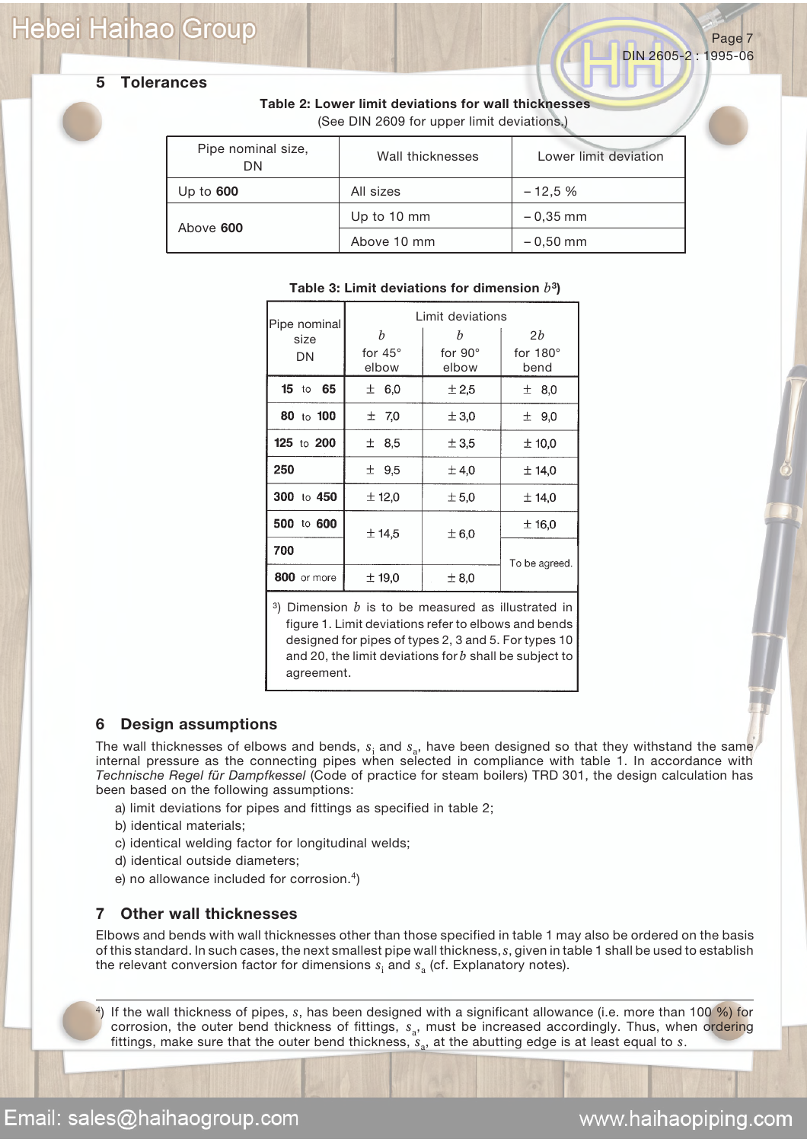## **Hebei Haihao Group**

DIN 2605-2 : 1995-06



### **5 Tolerances**

**Table 2: Lower limit deviations for wall thicknesses** (See DIN 2609 for upper limit deviations.)

| Pipe nominal size,<br>DΝ | Wall thicknesses | Lower limit deviation |
|--------------------------|------------------|-----------------------|
| Up to $600$              | All sizes        | $-12.5%$              |
| Above 600                | Up to 10 mm      | $-0.35$ mm            |
|                          | Above 10 mm      | $-0.50$ mm            |

|                                                                                                                |                         | Limit deviations        |                         |  |  |  |  |  |  |
|----------------------------------------------------------------------------------------------------------------|-------------------------|-------------------------|-------------------------|--|--|--|--|--|--|
| Pipe nominal<br>size                                                                                           | b                       | b                       | 2b                      |  |  |  |  |  |  |
| DN                                                                                                             | for $45^\circ$<br>elbow | for $90^\circ$<br>elbow | for $180^\circ$<br>bend |  |  |  |  |  |  |
| $15$ to<br>65                                                                                                  | ± 6,0                   | ± 2,5                   | ± 8,0                   |  |  |  |  |  |  |
| 80 to 100                                                                                                      | ±7,0                    | ± 3,0                   | ± 9,0                   |  |  |  |  |  |  |
| 125 to 200                                                                                                     | ± 8,5                   | ± 3,5                   | ± 10,0                  |  |  |  |  |  |  |
| 250                                                                                                            | $±$ 9,5                 | $\pm$ 4,0               | ± 14,0                  |  |  |  |  |  |  |
| 300 to 450                                                                                                     | ± 12,0                  | ± 5,0                   | $±$ 14,0                |  |  |  |  |  |  |
| 500 to 600                                                                                                     | 士 14.5                  | ±6.0                    | $±$ 16,0                |  |  |  |  |  |  |
| 700                                                                                                            |                         |                         | To be agreed.           |  |  |  |  |  |  |
| 800 or more                                                                                                    | ± 19.0                  | $\pm$ 8.0               |                         |  |  |  |  |  |  |
| 3) Dimension $b$ is to be measured as illustrated in<br>figure 1. Limit deviations refer to elbows and bends i |                         |                         |                         |  |  |  |  |  |  |

### **Table 3: Limit deviations for dimension** *b***3)**

figure 1. Limit deviations refer to elbows and bends designed for pipes of types 2, 3 and 5. For types 10 and 20, the limit deviations for *b* shall be subject to agreement.

### **6 Design assumptions**

The wall thicknesses of elbows and bends,  $s<sub>i</sub>$  and  $s<sub>a</sub>$ , have been designed so that they withstand the same internal pressure as the connecting pipes when selected in compliance with table 1. In accordance with *Technische Regel für Dampfkessel* (Code of practice for steam boilers) TRD 301, the design calculation has been based on the following assumptions:

- a) limit deviations for pipes and fittings as specified in table 2;
- b) identical materials;
- c) identical welding factor for longitudinal welds;
- d) identical outside diameters;
- e) no allowance included for corrosion.<sup>4</sup>)

### **7 Other wall thicknesses**

Elbows and bends with wall thicknesses other than those specified in table 1 may also be ordered on the basis of this standard. In such cases, the next smallest pipe wall thickness, *s*, given in table 1 shall be used to establish the relevant conversion factor for dimensions  $s_i$  and  $s_a$  (cf. Explanatory notes).

4) If the wall thickness of pipes, *s*, has been designed with a significant allowance (i.e. more than 100 %) for corrosion, the outer bend thickness of fittings,  $s_a$ , must be increased accordingly. Thus, when ordering fittings, make sure that the outer bend thickness,  $s_a$ , at the abutting edge is at least equal to  $s$ .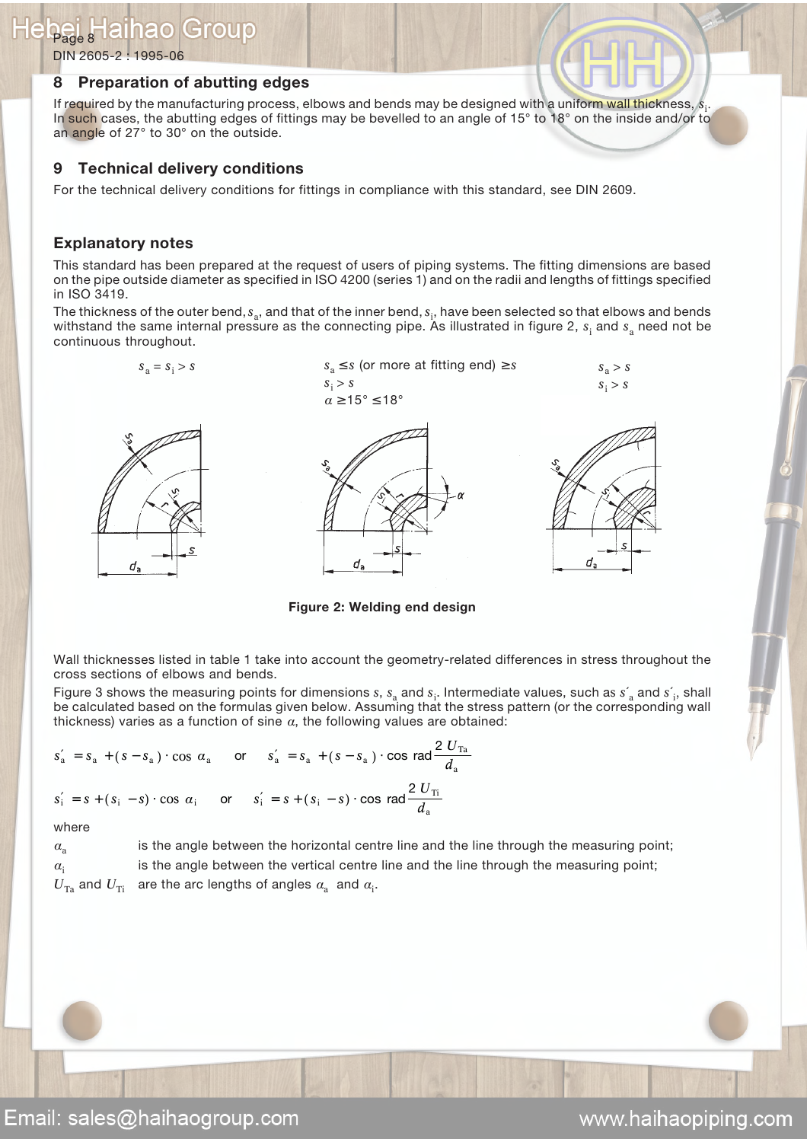DIN 2605-2 : 1995-06

### **8 Preparation of abutting edges**

If required by the manufacturing process, elbows and bends may be designed with a uniform wall thickness,  $s_\mathrm{i}$ . In such cases, the abutting edges of fittings may be bevelled to an angle of 15° to 18° on the inside and/or to an angle of 27° to 30° on the outside.

### **9 Technical delivery conditions**

For the technical delivery conditions for fittings in compliance with this standard, see DIN 2609.

### **Explanatory notes**

This standard has been prepared at the request of users of piping systems. The fitting dimensions are based on the pipe outside diameter as specified in ISO 4200 (series 1) and on the radii and lengths of fittings specified in ISO 3419.

The thickness of the outer bend,  $s_{\rm a}$ , and that of the inner bend,  $s_{\rm i}$ , have been selected so that elbows and bends withstand the same internal pressure as the connecting pipe. As illustrated in figure 2,  $s_i$  and  $s_a$  need not be continuous throughout.





**Figure 2: Welding end design**

Wall thicknesses listed in table 1 take into account the geometry-related differences in stress throughout the cross sections of elbows and bends.

Figure 3 shows the measuring points for dimensions  $s$ ,  $s_a$  and  $s_i$ . Intermediate values, such as  $s'_a$  and  $s'_i$ , shall be calculated based on the formulas given below. Assuming that the stress pattern (or the corresponding wall thickness) varies as a function of sine  $\alpha$ , the following values are obtained:

$$
s'_{a} = s_{a} + (s - s_{a}) \cdot \cos \alpha_{a} \quad \text{or} \quad s'_{a} = s_{a} + (s - s_{a}) \cdot \cos \text{ rad} \frac{2 U_{\text{Ta}}}{d_{a}}
$$
  

$$
s'_{i} = s + (s_{i} - s) \cdot \cos \alpha_{i} \quad \text{or} \quad s'_{i} = s + (s_{i} - s) \cdot \cos \text{ rad} \frac{2 U_{\text{Ti}}}{d_{a}}
$$

where

 $a<sub>a</sub>$  is the angle between the horizontal centre line and the line through the measuring point;  $a_i$  is the angle between the vertical centre line and the line through the measuring point;  $U_{\text{Ta}}$  and  $U_{\text{Ti}}$  are the arc lengths of angles  $a_{\text{a}}^{}$  and  $a_{\text{i}}^{}$ .

www.haihaopiping.com